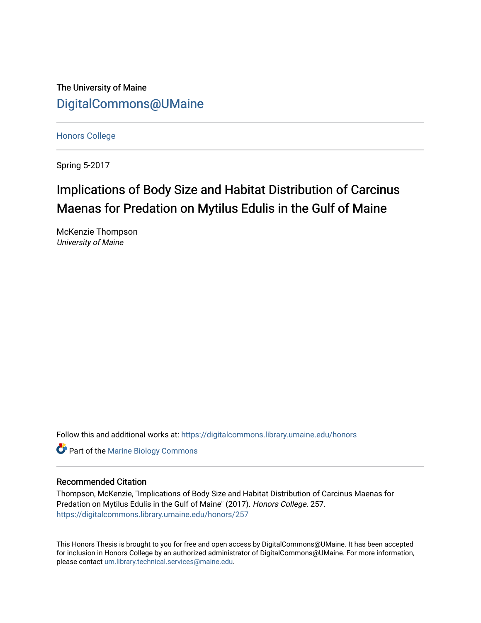The University of Maine [DigitalCommons@UMaine](https://digitalcommons.library.umaine.edu/)

[Honors College](https://digitalcommons.library.umaine.edu/honors)

Spring 5-2017

## Implications of Body Size and Habitat Distribution of Carcinus Maenas for Predation on Mytilus Edulis in the Gulf of Maine

McKenzie Thompson University of Maine

Follow this and additional works at: [https://digitalcommons.library.umaine.edu/honors](https://digitalcommons.library.umaine.edu/honors?utm_source=digitalcommons.library.umaine.edu%2Fhonors%2F257&utm_medium=PDF&utm_campaign=PDFCoverPages) 

**Part of the Marine Biology Commons** 

## Recommended Citation

Thompson, McKenzie, "Implications of Body Size and Habitat Distribution of Carcinus Maenas for Predation on Mytilus Edulis in the Gulf of Maine" (2017). Honors College. 257. [https://digitalcommons.library.umaine.edu/honors/257](https://digitalcommons.library.umaine.edu/honors/257?utm_source=digitalcommons.library.umaine.edu%2Fhonors%2F257&utm_medium=PDF&utm_campaign=PDFCoverPages) 

This Honors Thesis is brought to you for free and open access by DigitalCommons@UMaine. It has been accepted for inclusion in Honors College by an authorized administrator of DigitalCommons@UMaine. For more information, please contact [um.library.technical.services@maine.edu.](mailto:um.library.technical.services@maine.edu)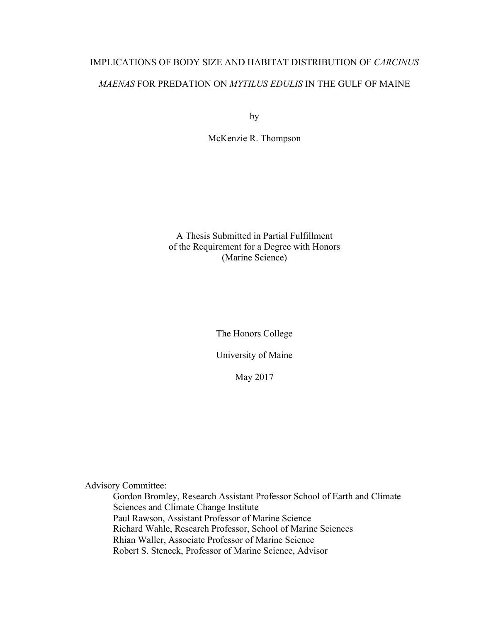# IMPLICATIONS OF BODY SIZE AND HABITAT DISTRIBUTION OF *CARCINUS MAENAS* FOR PREDATION ON *MYTILUS EDULIS* IN THE GULF OF MAINE

by

McKenzie R. Thompson

A Thesis Submitted in Partial Fulfillment of the Requirement for a Degree with Honors (Marine Science)

The Honors College

University of Maine

May 2017

Advisory Committee:

Gordon Bromley, Research Assistant Professor School of Earth and Climate Sciences and Climate Change Institute Paul Rawson, Assistant Professor of Marine Science Richard Wahle, Research Professor, School of Marine Sciences Rhian Waller, Associate Professor of Marine Science Robert S. Steneck, Professor of Marine Science, Advisor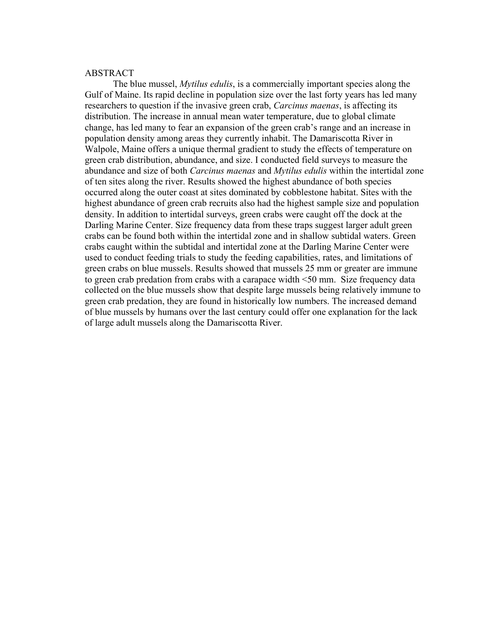## ABSTRACT

The blue mussel, *Mytilus edulis*, is a commercially important species along the Gulf of Maine. Its rapid decline in population size over the last forty years has led many researchers to question if the invasive green crab, *Carcinus maenas*, is affecting its distribution. The increase in annual mean water temperature, due to global climate change, has led many to fear an expansion of the green crab's range and an increase in population density among areas they currently inhabit. The Damariscotta River in Walpole, Maine offers a unique thermal gradient to study the effects of temperature on green crab distribution, abundance, and size. I conducted field surveys to measure the abundance and size of both *Carcinus maenas* and *Mytilus edulis* within the intertidal zone of ten sites along the river. Results showed the highest abundance of both species occurred along the outer coast at sites dominated by cobblestone habitat. Sites with the highest abundance of green crab recruits also had the highest sample size and population density. In addition to intertidal surveys, green crabs were caught off the dock at the Darling Marine Center. Size frequency data from these traps suggest larger adult green crabs can be found both within the intertidal zone and in shallow subtidal waters. Green crabs caught within the subtidal and intertidal zone at the Darling Marine Center were used to conduct feeding trials to study the feeding capabilities, rates, and limitations of green crabs on blue mussels. Results showed that mussels 25 mm or greater are immune to green crab predation from crabs with a carapace width <50 mm. Size frequency data collected on the blue mussels show that despite large mussels being relatively immune to green crab predation, they are found in historically low numbers. The increased demand of blue mussels by humans over the last century could offer one explanation for the lack of large adult mussels along the Damariscotta River.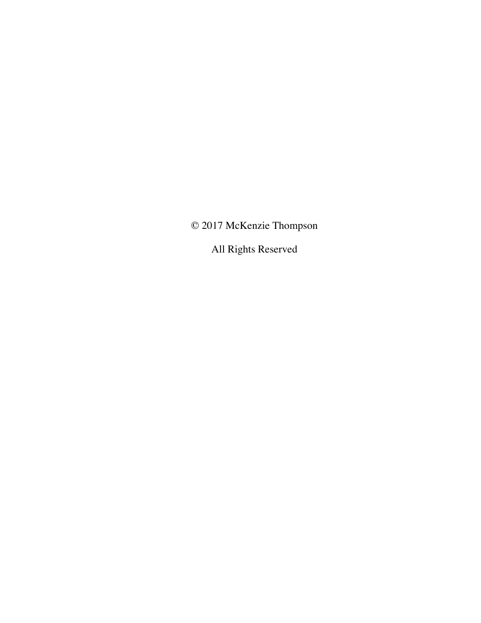© 2017 McKenzie Thompson

All Rights Reserved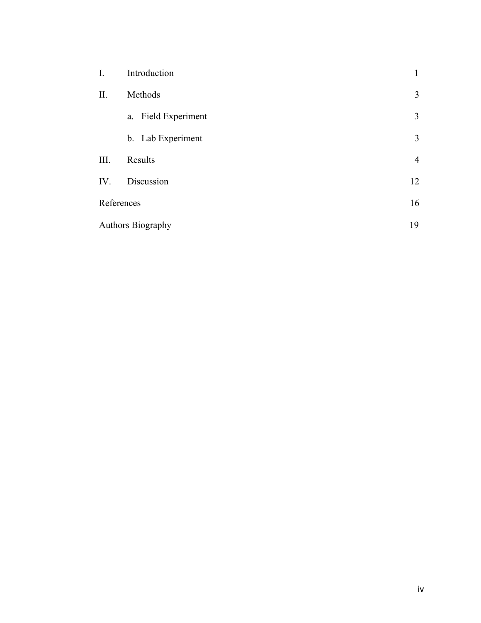| I.                | Introduction        | 1              |
|-------------------|---------------------|----------------|
| П.                | Methods             | 3              |
|                   | a. Field Experiment | 3              |
|                   | b. Lab Experiment   | 3              |
| III.              | Results             | $\overline{4}$ |
| IV.               | Discussion          | 12             |
| References        |                     | 16             |
| Authors Biography |                     | 19             |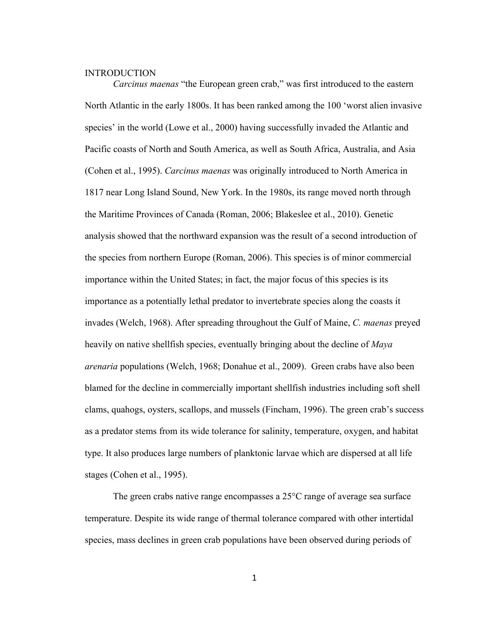## **INTRODUCTION**

*Carcinus maenas* "the European green crab," was first introduced to the eastern North Atlantic in the early 1800s. It has been ranked among the 100 'worst alien invasive species' in the world (Lowe et al., 2000) having successfully invaded the Atlantic and Pacific coasts of North and South America, as well as South Africa, Australia, and Asia (Cohen et al., 1995). *Carcinus maenas* was originally introduced to North America in 1817 near Long Island Sound, New York. In the 1980s, its range moved north through the Maritime Provinces of Canada (Roman, 2006; Blakeslee et al., 2010). Genetic analysis showed that the northward expansion was the result of a second introduction of the species from northern Europe (Roman, 2006). This species is of minor commercial importance within the United States; in fact, the major focus of this species is its importance as a potentially lethal predator to invertebrate species along the coasts it invades (Welch, 1968). After spreading throughout the Gulf of Maine, *C. maenas* preyed heavily on native shellfish species, eventually bringing about the decline of *Maya arenaria* populations (Welch, 1968; Donahue et al., 2009). Green crabs have also been blamed for the decline in commercially important shellfish industries including soft shell clams, quahogs, oysters, scallops, and mussels (Fincham, 1996). The green crab's success as a predator stems from its wide tolerance for salinity, temperature, oxygen, and habitat type. It also produces large numbers of planktonic larvae which are dispersed at all life stages (Cohen et al., 1995).

The green crabs native range encompasses a 25°C range of average sea surface temperature. Despite its wide range of thermal tolerance compared with other intertidal species, mass declines in green crab populations have been observed during periods of

1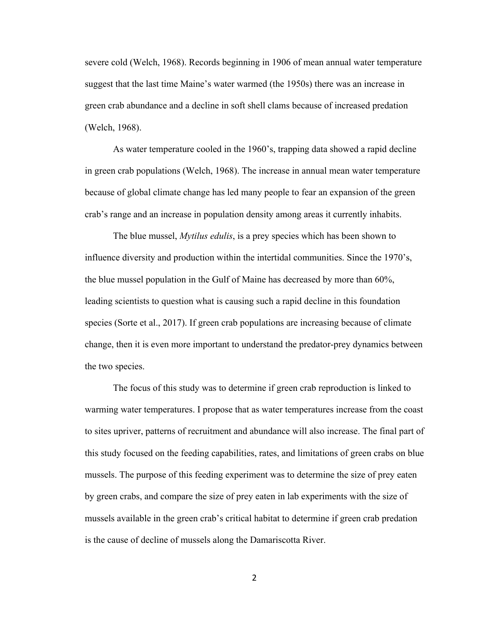severe cold (Welch, 1968). Records beginning in 1906 of mean annual water temperature suggest that the last time Maine's water warmed (the 1950s) there was an increase in green crab abundance and a decline in soft shell clams because of increased predation (Welch, 1968).

As water temperature cooled in the 1960's, trapping data showed a rapid decline in green crab populations (Welch, 1968). The increase in annual mean water temperature because of global climate change has led many people to fear an expansion of the green crab's range and an increase in population density among areas it currently inhabits.

The blue mussel, *Mytilus edulis*, is a prey species which has been shown to influence diversity and production within the intertidal communities. Since the 1970's, the blue mussel population in the Gulf of Maine has decreased by more than 60%, leading scientists to question what is causing such a rapid decline in this foundation species (Sorte et al., 2017). If green crab populations are increasing because of climate change, then it is even more important to understand the predator-prey dynamics between the two species.

The focus of this study was to determine if green crab reproduction is linked to warming water temperatures. I propose that as water temperatures increase from the coast to sites upriver, patterns of recruitment and abundance will also increase. The final part of this study focused on the feeding capabilities, rates, and limitations of green crabs on blue mussels. The purpose of this feeding experiment was to determine the size of prey eaten by green crabs, and compare the size of prey eaten in lab experiments with the size of mussels available in the green crab's critical habitat to determine if green crab predation is the cause of decline of mussels along the Damariscotta River.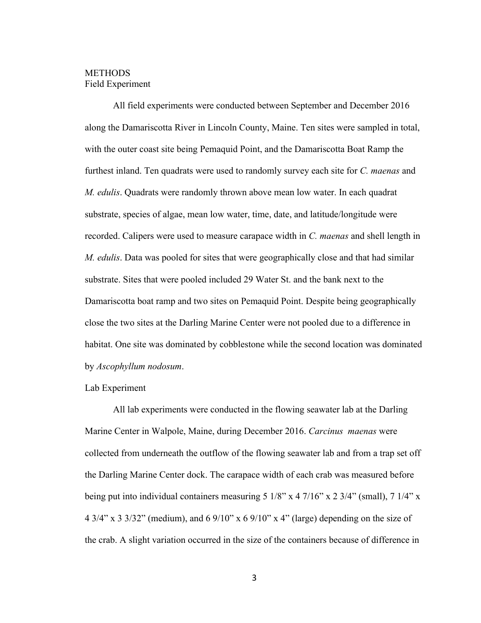## **METHODS** Field Experiment

All field experiments were conducted between September and December 2016 along the Damariscotta River in Lincoln County, Maine. Ten sites were sampled in total, with the outer coast site being Pemaquid Point, and the Damariscotta Boat Ramp the furthest inland. Ten quadrats were used to randomly survey each site for *C. maenas* and *M. edulis*. Quadrats were randomly thrown above mean low water. In each quadrat substrate, species of algae, mean low water, time, date, and latitude/longitude were recorded. Calipers were used to measure carapace width in *C. maenas* and shell length in *M. edulis*. Data was pooled for sites that were geographically close and that had similar substrate. Sites that were pooled included 29 Water St. and the bank next to the Damariscotta boat ramp and two sites on Pemaquid Point. Despite being geographically close the two sites at the Darling Marine Center were not pooled due to a difference in habitat. One site was dominated by cobblestone while the second location was dominated by *Ascophyllum nodosum*.

#### Lab Experiment

All lab experiments were conducted in the flowing seawater lab at the Darling Marine Center in Walpole, Maine, during December 2016. *Carcinus maenas* were collected from underneath the outflow of the flowing seawater lab and from a trap set off the Darling Marine Center dock. The carapace width of each crab was measured before being put into individual containers measuring 5 1/8" x 4 7/16" x 2 3/4" (small), 7 1/4" x 4 3/4" x 3 3/32" (medium), and 6 9/10" x 6 9/10" x 4" (large) depending on the size of the crab. A slight variation occurred in the size of the containers because of difference in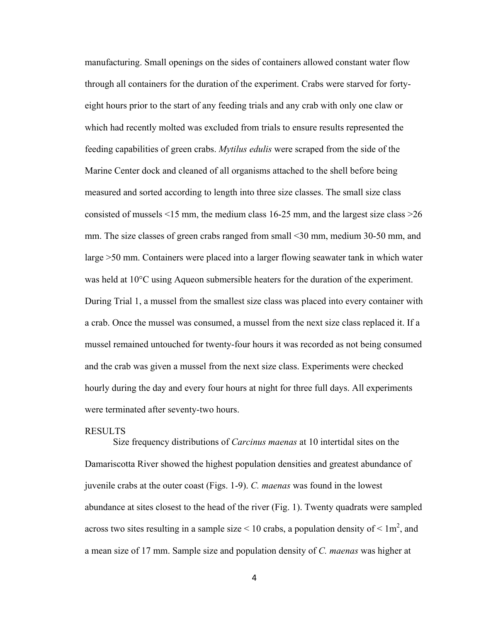manufacturing. Small openings on the sides of containers allowed constant water flow through all containers for the duration of the experiment. Crabs were starved for fortyeight hours prior to the start of any feeding trials and any crab with only one claw or which had recently molted was excluded from trials to ensure results represented the feeding capabilities of green crabs. *Mytilus edulis* were scraped from the side of the Marine Center dock and cleaned of all organisms attached to the shell before being measured and sorted according to length into three size classes. The small size class consisted of mussels <15 mm, the medium class 16-25 mm, and the largest size class >26 mm. The size classes of green crabs ranged from small <30 mm, medium 30-50 mm, and large >50 mm. Containers were placed into a larger flowing seawater tank in which water was held at 10°C using Aqueon submersible heaters for the duration of the experiment. During Trial 1, a mussel from the smallest size class was placed into every container with a crab. Once the mussel was consumed, a mussel from the next size class replaced it. If a mussel remained untouched for twenty-four hours it was recorded as not being consumed and the crab was given a mussel from the next size class. Experiments were checked hourly during the day and every four hours at night for three full days. All experiments were terminated after seventy-two hours.

## RESULTS

Size frequency distributions of *Carcinus maenas* at 10 intertidal sites on the Damariscotta River showed the highest population densities and greatest abundance of juvenile crabs at the outer coast (Figs. 1-9). *C. maenas* was found in the lowest abundance at sites closest to the head of the river (Fig. 1). Twenty quadrats were sampled across two sites resulting in a sample size  $\leq 10$  crabs, a population density of  $\leq 1$ m<sup>2</sup>, and a mean size of 17 mm. Sample size and population density of *C. maenas* was higher at

4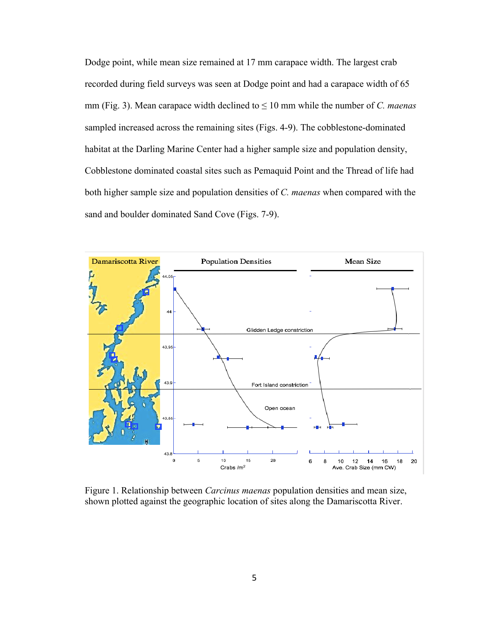Dodge point, while mean size remained at 17 mm carapace width. The largest crab recorded during field surveys was seen at Dodge point and had a carapace width of 65 mm (Fig. 3). Mean carapace width declined to  $\leq 10$  mm while the number of *C. maenas* sampled increased across the remaining sites (Figs. 4-9). The cobblestone-dominated habitat at the Darling Marine Center had a higher sample size and population density, Cobblestone dominated coastal sites such as Pemaquid Point and the Thread of life had both higher sample size and population densities of *C. maenas* when compared with the sand and boulder dominated Sand Cove (Figs. 7-9).



Figure 1. Relationship between *Carcinus maenas* population densities and mean size, shown plotted against the geographic location of sites along the Damariscotta River.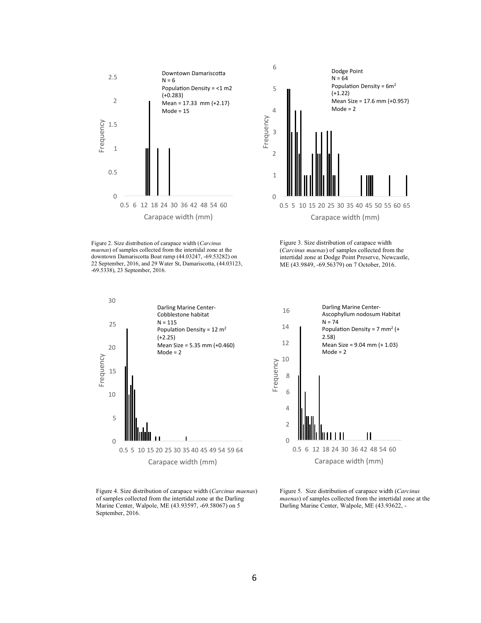

Figure 2. Size distribution of carapace width (*Carcinus maenas*) of samples collected from the intertidal zone at the downtown Damariscotta Boat ramp (44.03247, -69.53282) on 22 September, 2016, and 29 Water St, Damariscotta, (44.03123, -69.5338), 23 September, 2016.



Figure 4. Size distribution of carapace width (*Carcinus maenas*) of samples collected from the intertidal zone at the Darling Marine Center, Walpole, ME (43.93597, -69.58067) on 5 September, 2016.



Figure 3. Size distribution of carapace width



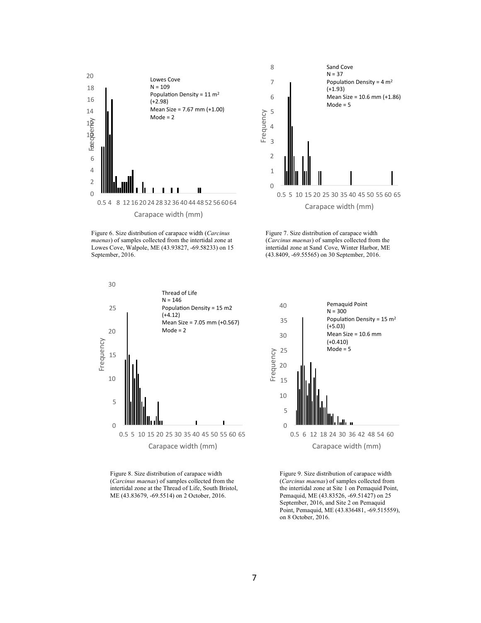

Figure 6. Size distribution of carapace width (*Carcinus maenas*) of samples collected from the intertidal zone at Lowes Cove, Walpole, ME (43.93827, -69.58233) on 15 September, 2016.





Figure 8. Size distribution of carapace width (*Carcinus maenas*) of samples collected from the intertidal zone at the Thread of Life, South Bristol, ME (43.83679, -69.5514) on 2 October, 2016.



Figure 9. Size distribution of carapace width (*Carcinus maenas*) of samples collected from the intertidal zone at Site 1 on Pemaquid Point, Pemaquid, ME (43.83526, -69.51427) on 25 September, 2016, and Site 2 on Pemaquid Point, Pemaquid, ME (43.836481, -69.515559), on 8 October, 2016.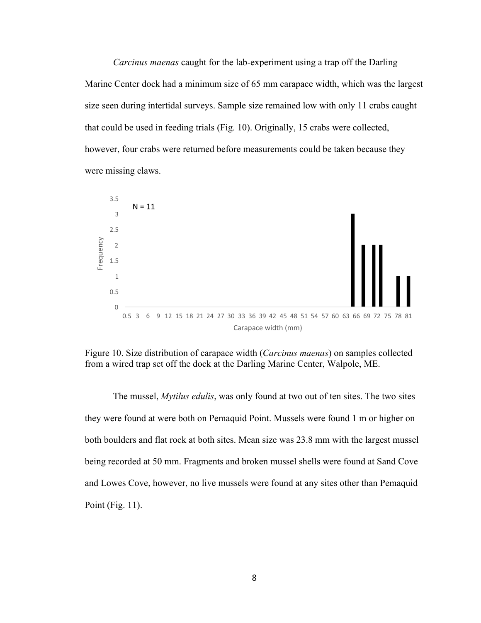*Carcinus maenas* caught for the lab-experiment using a trap off the Darling Marine Center dock had a minimum size of 65 mm carapace width, which was the largest size seen during intertidal surveys. Sample size remained low with only 11 crabs caught that could be used in feeding trials (Fig. 10). Originally, 15 crabs were collected, however, four crabs were returned before measurements could be taken because they were missing claws.



Figure 10. Size distribution of carapace width (*Carcinus maenas*) on samples collected from a wired trap set off the dock at the Darling Marine Center, Walpole, ME.

The mussel, *Mytilus edulis*, was only found at two out of ten sites. The two sites they were found at were both on Pemaquid Point. Mussels were found 1 m or higher on both boulders and flat rock at both sites. Mean size was 23.8 mm with the largest mussel being recorded at 50 mm. Fragments and broken mussel shells were found at Sand Cove and Lowes Cove, however, no live mussels were found at any sites other than Pemaquid Point (Fig. 11).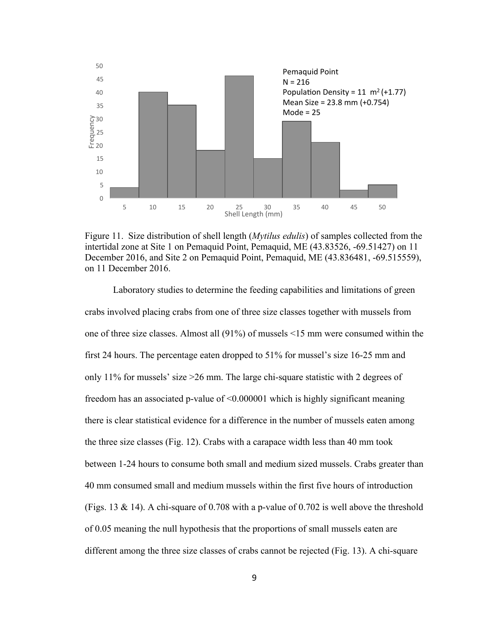

Figure 11. Size distribution of shell length (*Mytilus edulis*) of samples collected from the intertidal zone at Site 1 on Pemaquid Point, Pemaquid, ME (43.83526, -69.51427) on 11 December 2016, and Site 2 on Pemaquid Point, Pemaquid, ME (43.836481, -69.515559), on 11 December 2016.

Laboratory studies to determine the feeding capabilities and limitations of green crabs involved placing crabs from one of three size classes together with mussels from one of three size classes. Almost all (91%) of mussels <15 mm were consumed within the first 24 hours. The percentage eaten dropped to 51% for mussel's size 16-25 mm and only 11% for mussels' size >26 mm. The large chi-square statistic with 2 degrees of freedom has an associated p-value of <0.000001 which is highly significant meaning there is clear statistical evidence for a difference in the number of mussels eaten among the three size classes (Fig. 12). Crabs with a carapace width less than 40 mm took between 1-24 hours to consume both small and medium sized mussels. Crabs greater than 40 mm consumed small and medium mussels within the first five hours of introduction (Figs. 13  $\&$  14). A chi-square of 0.708 with a p-value of 0.702 is well above the threshold of 0.05 meaning the null hypothesis that the proportions of small mussels eaten are different among the three size classes of crabs cannot be rejected (Fig. 13). A chi-square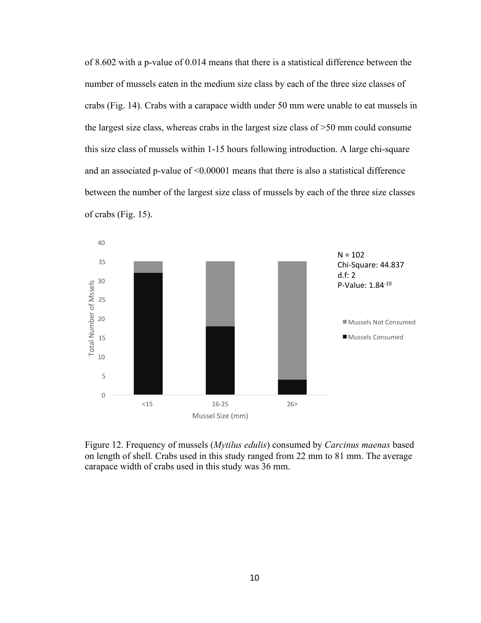of 8.602 with a p-value of 0.014 means that there is a statistical difference between the number of mussels eaten in the medium size class by each of the three size classes of crabs (Fig. 14). Crabs with a carapace width under 50 mm were unable to eat mussels in the largest size class, whereas crabs in the largest size class of >50 mm could consume this size class of mussels within 1-15 hours following introduction. A large chi-square and an associated p-value of <0.00001 means that there is also a statistical difference between the number of the largest size class of mussels by each of the three size classes of crabs (Fig. 15).



Figure 12. Frequency of mussels (*Mytilus edulis*) consumed by *Carcinus maenas* based on length of shell. Crabs used in this study ranged from 22 mm to 81 mm. The average carapace width of crabs used in this study was 36 mm.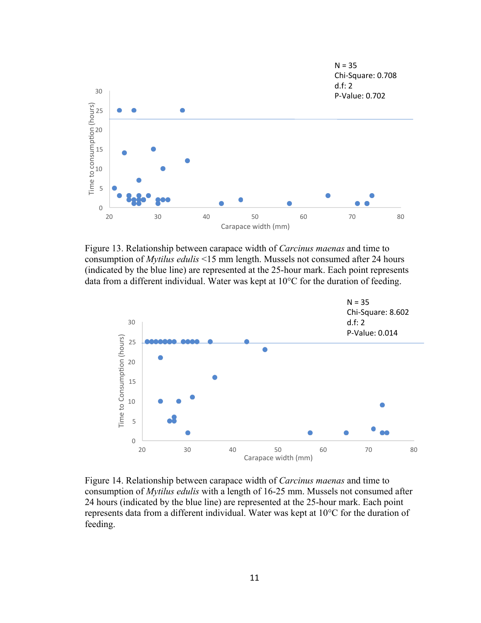

Figure 13. Relationship between carapace width of *Carcinus maenas* and time to consumption of *Mytilus edulis* <15 mm length. Mussels not consumed after 24 hours (indicated by the blue line) are represented at the 25-hour mark. Each point represents data from a different individual. Water was kept at 10°C for the duration of feeding.



Figure 14. Relationship between carapace width of *Carcinus maenas* and time to consumption of *Mytilus edulis* with a length of 16-25 mm. Mussels not consumed after 24 hours (indicated by the blue line) are represented at the 25-hour mark. Each point represents data from a different individual. Water was kept at 10°C for the duration of feeding.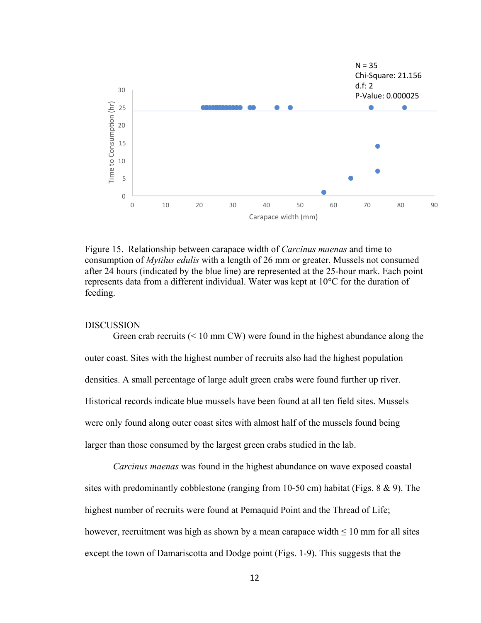

Figure 15. Relationship between carapace width of *Carcinus maenas* and time to consumption of *Mytilus edulis* with a length of 26 mm or greater. Mussels not consumed after 24 hours (indicated by the blue line) are represented at the 25-hour mark. Each point represents data from a different individual. Water was kept at 10°C for the duration of feeding.

## DISCUSSION

Green crab recruits  $(< 10 \text{ mm CW})$  were found in the highest abundance along the outer coast. Sites with the highest number of recruits also had the highest population densities. A small percentage of large adult green crabs were found further up river. Historical records indicate blue mussels have been found at all ten field sites. Mussels were only found along outer coast sites with almost half of the mussels found being larger than those consumed by the largest green crabs studied in the lab.

*Carcinus maenas* was found in the highest abundance on wave exposed coastal sites with predominantly cobblestone (ranging from 10-50 cm) habitat (Figs. 8 & 9). The highest number of recruits were found at Pemaquid Point and the Thread of Life; however, recruitment was high as shown by a mean carapace width  $\leq 10$  mm for all sites except the town of Damariscotta and Dodge point (Figs. 1-9). This suggests that the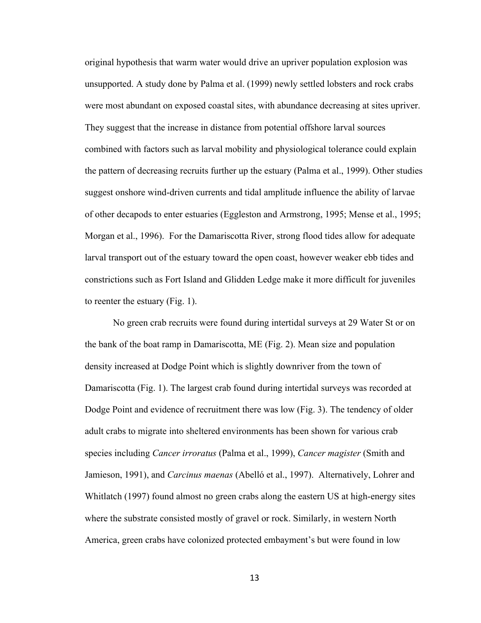original hypothesis that warm water would drive an upriver population explosion was unsupported. A study done by Palma et al. (1999) newly settled lobsters and rock crabs were most abundant on exposed coastal sites, with abundance decreasing at sites upriver. They suggest that the increase in distance from potential offshore larval sources combined with factors such as larval mobility and physiological tolerance could explain the pattern of decreasing recruits further up the estuary (Palma et al., 1999). Other studies suggest onshore wind-driven currents and tidal amplitude influence the ability of larvae of other decapods to enter estuaries (Eggleston and Armstrong, 1995; Mense et al., 1995; Morgan et al., 1996). For the Damariscotta River, strong flood tides allow for adequate larval transport out of the estuary toward the open coast, however weaker ebb tides and constrictions such as Fort Island and Glidden Ledge make it more difficult for juveniles to reenter the estuary (Fig. 1).

No green crab recruits were found during intertidal surveys at 29 Water St or on the bank of the boat ramp in Damariscotta, ME (Fig. 2). Mean size and population density increased at Dodge Point which is slightly downriver from the town of Damariscotta (Fig. 1). The largest crab found during intertidal surveys was recorded at Dodge Point and evidence of recruitment there was low (Fig. 3). The tendency of older adult crabs to migrate into sheltered environments has been shown for various crab species including *Cancer irroratus* (Palma et al., 1999), *Cancer magister* (Smith and Jamieson, 1991), and *Carcinus maenas* (Abelló et al., 1997). Alternatively, Lohrer and Whitlatch (1997) found almost no green crabs along the eastern US at high-energy sites where the substrate consisted mostly of gravel or rock. Similarly, in western North America, green crabs have colonized protected embayment's but were found in low

13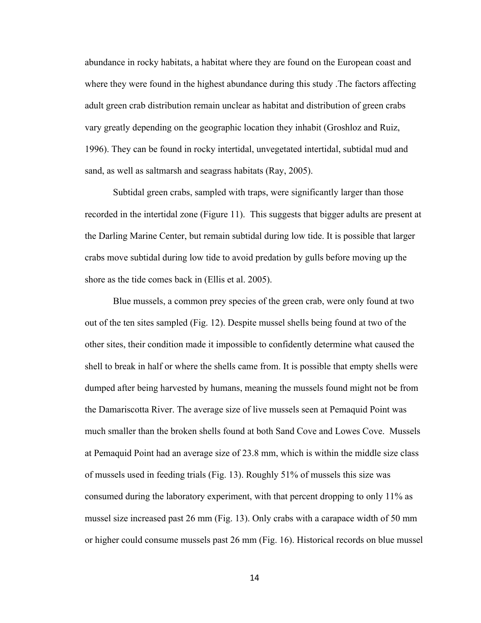abundance in rocky habitats, a habitat where they are found on the European coast and where they were found in the highest abundance during this study .The factors affecting adult green crab distribution remain unclear as habitat and distribution of green crabs vary greatly depending on the geographic location they inhabit (Groshloz and Ruiz, 1996). They can be found in rocky intertidal, unvegetated intertidal, subtidal mud and sand, as well as saltmarsh and seagrass habitats (Ray, 2005).

Subtidal green crabs, sampled with traps, were significantly larger than those recorded in the intertidal zone (Figure 11). This suggests that bigger adults are present at the Darling Marine Center, but remain subtidal during low tide. It is possible that larger crabs move subtidal during low tide to avoid predation by gulls before moving up the shore as the tide comes back in (Ellis et al. 2005).

Blue mussels, a common prey species of the green crab, were only found at two out of the ten sites sampled (Fig. 12). Despite mussel shells being found at two of the other sites, their condition made it impossible to confidently determine what caused the shell to break in half or where the shells came from. It is possible that empty shells were dumped after being harvested by humans, meaning the mussels found might not be from the Damariscotta River. The average size of live mussels seen at Pemaquid Point was much smaller than the broken shells found at both Sand Cove and Lowes Cove. Mussels at Pemaquid Point had an average size of 23.8 mm, which is within the middle size class of mussels used in feeding trials (Fig. 13). Roughly 51% of mussels this size was consumed during the laboratory experiment, with that percent dropping to only 11% as mussel size increased past 26 mm (Fig. 13). Only crabs with a carapace width of 50 mm or higher could consume mussels past 26 mm (Fig. 16). Historical records on blue mussel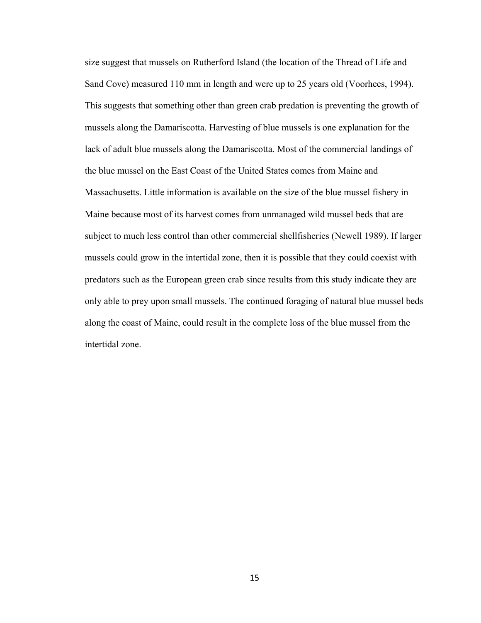size suggest that mussels on Rutherford Island (the location of the Thread of Life and Sand Cove) measured 110 mm in length and were up to 25 years old (Voorhees, 1994). This suggests that something other than green crab predation is preventing the growth of mussels along the Damariscotta. Harvesting of blue mussels is one explanation for the lack of adult blue mussels along the Damariscotta. Most of the commercial landings of the blue mussel on the East Coast of the United States comes from Maine and Massachusetts. Little information is available on the size of the blue mussel fishery in Maine because most of its harvest comes from unmanaged wild mussel beds that are subject to much less control than other commercial shellfisheries (Newell 1989). If larger mussels could grow in the intertidal zone, then it is possible that they could coexist with predators such as the European green crab since results from this study indicate they are only able to prey upon small mussels. The continued foraging of natural blue mussel beds along the coast of Maine, could result in the complete loss of the blue mussel from the intertidal zone.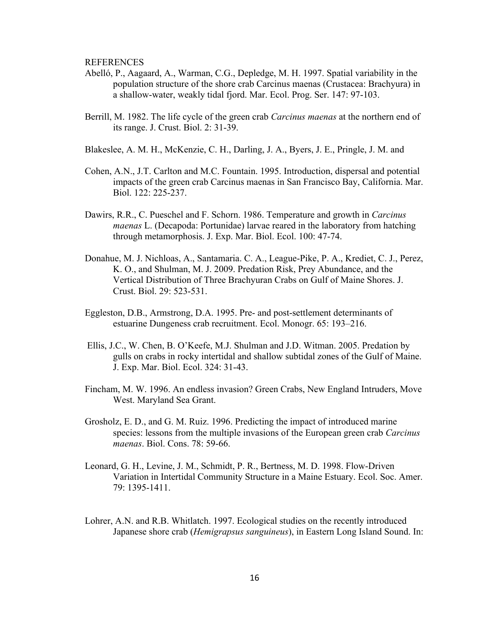REFERENCES

- Abelló, P., Aagaard, A., Warman, C.G., Depledge, M. H. 1997. Spatial variability in the population structure of the shore crab Carcinus maenas (Crustacea: Brachyura) in a shallow-water, weakly tidal fjord. Mar. Ecol. Prog. Ser. 147: 97-103.
- Berrill, M. 1982. The life cycle of the green crab *Carcinus maenas* at the northern end of its range. J. Crust. Biol. 2: 31-39.
- Blakeslee, A. M. H., McKenzie, C. H., Darling, J. A., Byers, J. E., Pringle, J. M. and
- Cohen, A.N., J.T. Carlton and M.C. Fountain. 1995. Introduction, dispersal and potential impacts of the green crab Carcinus maenas in San Francisco Bay, California. Mar. Biol. 122: 225-237.
- Dawirs, R.R., C. Pueschel and F. Schorn. 1986. Temperature and growth in *Carcinus maenas* L. (Decapoda: Portunidae) larvae reared in the laboratory from hatching through metamorphosis. J. Exp. Mar. Biol. Ecol. 100: 47-74.
- Donahue, M. J. Nichloas, A., Santamaria. C. A., League-Pike, P. A., Krediet, C. J., Perez, K. O., and Shulman, M. J. 2009. Predation Risk, Prey Abundance, and the Vertical Distribution of Three Brachyuran Crabs on Gulf of Maine Shores. J. Crust. Biol. 29: 523-531.
- Eggleston, D.B., Armstrong, D.A. 1995. Pre- and post-settlement determinants of estuarine Dungeness crab recruitment. Ecol. Monogr. 65: 193–216.
- Ellis, J.C., W. Chen, B. O'Keefe, M.J. Shulman and J.D. Witman. 2005. Predation by gulls on crabs in rocky intertidal and shallow subtidal zones of the Gulf of Maine. J. Exp. Mar. Biol. Ecol. 324: 31-43.
- Fincham, M. W. 1996. An endless invasion? Green Crabs, New England Intruders, Move West. Maryland Sea Grant.
- Grosholz, E. D., and G. M. Ruiz. 1996. Predicting the impact of introduced marine species: lessons from the multiple invasions of the European green crab *Carcinus maenas*. Biol. Cons. 78: 59-66.
- Leonard, G. H., Levine, J. M., Schmidt, P. R., Bertness, M. D. 1998. Flow-Driven Variation in Intertidal Community Structure in a Maine Estuary. Ecol. Soc. Amer. 79: 1395-1411.
- Lohrer, A.N. and R.B. Whitlatch. 1997. Ecological studies on the recently introduced Japanese shore crab (*Hemigrapsus sanguineus*), in Eastern Long Island Sound. In: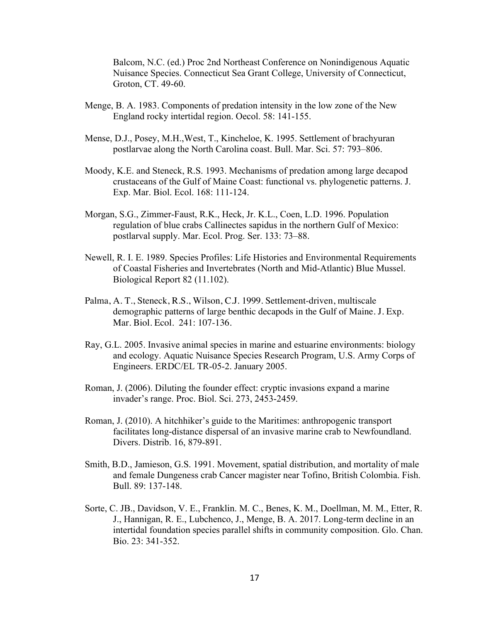Balcom, N.C. (ed.) Proc 2nd Northeast Conference on Nonindigenous Aquatic Nuisance Species. Connecticut Sea Grant College, University of Connecticut, Groton, CT. 49-60.

- Menge, B. A. 1983. Components of predation intensity in the low zone of the New England rocky intertidal region. Oecol. 58: 141-155.
- Mense, D.J., Posey, M.H.,West, T., Kincheloe, K. 1995. Settlement of brachyuran postlarvae along the North Carolina coast. Bull. Mar. Sci. 57: 793–806.
- Moody, K.E. and Steneck, R.S. 1993. Mechanisms of predation among large decapod crustaceans of the Gulf of Maine Coast: functional vs. phylogenetic patterns. J. Exp. Mar. Biol. Ecol. 168: 111-124.
- Morgan, S.G., Zimmer-Faust, R.K., Heck, Jr. K.L., Coen, L.D. 1996. Population regulation of blue crabs Callinectes sapidus in the northern Gulf of Mexico: postlarval supply. Mar. Ecol. Prog. Ser. 133: 73–88.
- Newell, R. I. E. 1989. Species Profiles: Life Histories and Environmental Requirements of Coastal Fisheries and Invertebrates (North and Mid-Atlantic) Blue Mussel. Biological Report 82 (11.102).
- Palma, A. T., Steneck, R.S., Wilson, C.J. 1999. Settlement-driven, multiscale demographic patterns of large benthic decapods in the Gulf of Maine. J. Exp. Mar. Biol. Ecol. 241: 107-136.
- Ray, G.L. 2005. Invasive animal species in marine and estuarine environments: biology and ecology. Aquatic Nuisance Species Research Program, U.S. Army Corps of Engineers. ERDC/EL TR-05-2. January 2005.
- Roman, J. (2006). Diluting the founder effect: cryptic invasions expand a marine invader's range. Proc. Biol. Sci. 273, 2453-2459.
- Roman, J. (2010). A hitchhiker's guide to the Maritimes: anthropogenic transport facilitates long-distance dispersal of an invasive marine crab to Newfoundland. Divers. Distrib. 16, 879-891.
- Smith, B.D., Jamieson, G.S. 1991. Movement, spatial distribution, and mortality of male and female Dungeness crab Cancer magister near Tofino, British Colombia. Fish. Bull. 89: 137-148.
- Sorte, C. JB., Davidson, V. E., Franklin. M. C., Benes, K. M., Doellman, M. M., Etter, R. J., Hannigan, R. E., Lubchenco, J., Menge, B. A. 2017. Long-term decline in an intertidal foundation species parallel shifts in community composition. Glo. Chan. Bio. 23: 341-352.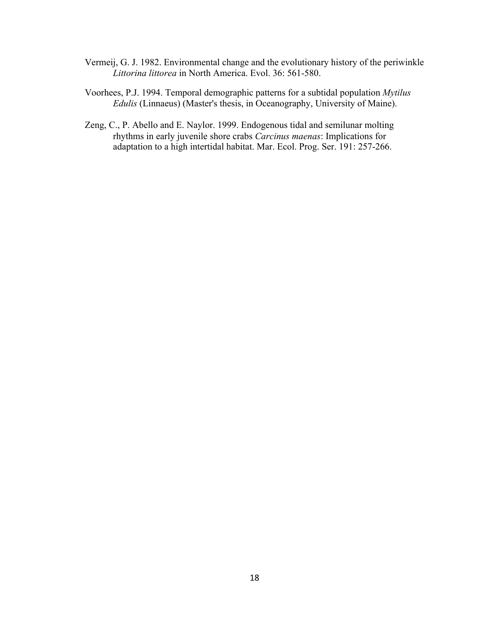- Vermeij, G. J. 1982. Environmental change and the evolutionary history of the periwinkle *Littorina littorea* in North America. Evol. 36: 561-580.
- Voorhees, P.J. 1994. Temporal demographic patterns for a subtidal population *Mytilus Edulis* (Linnaeus) (Master's thesis, in Oceanography, University of Maine).
- Zeng, C., P. Abello and E. Naylor. 1999. Endogenous tidal and semilunar molting rhythms in early juvenile shore crabs *Carcinus maenas*: Implications for adaptation to a high intertidal habitat. Mar. Ecol. Prog. Ser. 191: 257-266.